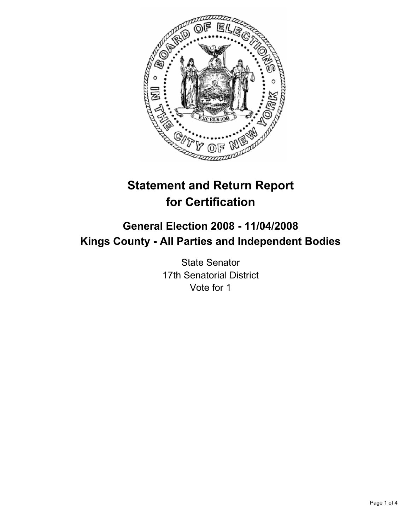

# **Statement and Return Report for Certification**

## **General Election 2008 - 11/04/2008 Kings County - All Parties and Independent Bodies**

State Senator 17th Senatorial District Vote for 1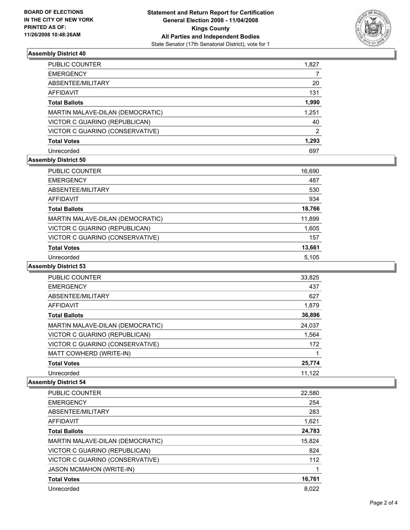

## **Assembly District 40**

| PUBLIC COUNTER                   | 1,827 |
|----------------------------------|-------|
| <b>EMERGENCY</b>                 |       |
| ABSENTEE/MILITARY                | 20    |
| <b>AFFIDAVIT</b>                 | 131   |
| <b>Total Ballots</b>             | 1,990 |
| MARTIN MALAVE-DILAN (DEMOCRATIC) | 1,251 |
| VICTOR C GUARINO (REPUBLICAN)    | 40    |
| VICTOR C GUARINO (CONSERVATIVE)  | 2     |
| <b>Total Votes</b>               | 1,293 |
| Unrecorded                       | 697   |

## **Assembly District 50**

| PUBLIC COUNTER                   | 16,690 |  |
|----------------------------------|--------|--|
| <b>EMERGENCY</b>                 | 487    |  |
| ABSENTEE/MILITARY                | 530    |  |
| AFFIDAVIT                        | 934    |  |
| <b>Total Ballots</b>             | 18,766 |  |
| MARTIN MALAVE-DILAN (DEMOCRATIC) | 11,899 |  |
| VICTOR C GUARINO (REPUBLICAN)    | 1,605  |  |
| VICTOR C GUARINO (CONSERVATIVE)  | 157    |  |
| <b>Total Votes</b>               | 13,661 |  |
| Unrecorded                       | 5.105  |  |

#### **Assembly District 53**

| <b>PUBLIC COUNTER</b>            | 33,825 |
|----------------------------------|--------|
| <b>EMERGENCY</b>                 | 437    |
| ABSENTEE/MILITARY                | 627    |
| AFFIDAVIT                        | 1,879  |
| <b>Total Ballots</b>             | 36,896 |
| MARTIN MALAVE-DILAN (DEMOCRATIC) | 24,037 |
| VICTOR C GUARINO (REPUBLICAN)    | 1,564  |
| VICTOR C GUARINO (CONSERVATIVE)  | 172    |
| MATT COWHERD (WRITE-IN)          |        |
| <b>Total Votes</b>               | 25,774 |
| Unrecorded                       | 11,122 |

#### **Assembly District 54**

| <b>PUBLIC COUNTER</b>            | 22,580 |
|----------------------------------|--------|
| <b>EMERGENCY</b>                 | 254    |
| ABSENTEE/MILITARY                | 283    |
| AFFIDAVIT                        | 1,621  |
| <b>Total Ballots</b>             | 24,783 |
| MARTIN MALAVE-DILAN (DEMOCRATIC) | 15,824 |
| VICTOR C GUARINO (REPUBLICAN)    | 824    |
| VICTOR C GUARINO (CONSERVATIVE)  | 112    |
| <b>JASON MCMAHON (WRITE-IN)</b>  |        |
| <b>Total Votes</b>               | 16,761 |
| Unrecorded                       | 8.022  |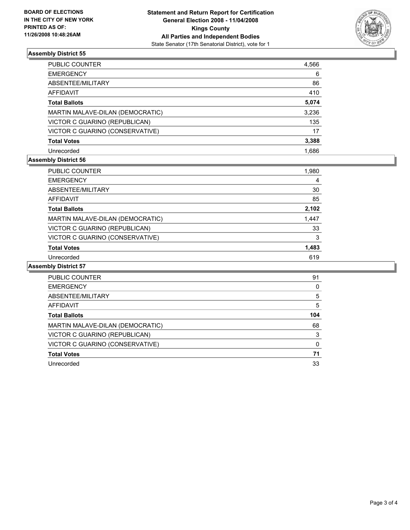

## **Assembly District 55**

| PUBLIC COUNTER                   | 4,566 |
|----------------------------------|-------|
| <b>EMERGENCY</b>                 | 6     |
| ABSENTEE/MILITARY                | 86    |
| AFFIDAVIT                        | 410   |
| <b>Total Ballots</b>             | 5,074 |
| MARTIN MALAVE-DILAN (DEMOCRATIC) | 3,236 |
| VICTOR C GUARINO (REPUBLICAN)    | 135   |
| VICTOR C GUARINO (CONSERVATIVE)  | 17    |
| <b>Total Votes</b>               | 3,388 |
| Unrecorded                       | 1.686 |

## **Assembly District 56**

| PUBLIC COUNTER                   | 1,980 |
|----------------------------------|-------|
| <b>EMERGENCY</b>                 | 4     |
| ABSENTEE/MILITARY                | 30    |
| AFFIDAVIT                        | 85    |
| <b>Total Ballots</b>             | 2,102 |
| MARTIN MALAVE-DILAN (DEMOCRATIC) | 1,447 |
| VICTOR C GUARINO (REPUBLICAN)    | 33    |
| VICTOR C GUARINO (CONSERVATIVE)  | 3     |
| <b>Total Votes</b>               | 1,483 |
| Unrecorded                       | 619   |

## **Assembly District 57**

| PUBLIC COUNTER                   | 91  |  |
|----------------------------------|-----|--|
| <b>EMERGENCY</b>                 |     |  |
| ABSENTEE/MILITARY                | 5   |  |
| AFFIDAVIT                        | 5   |  |
| <b>Total Ballots</b>             | 104 |  |
| MARTIN MALAVE-DILAN (DEMOCRATIC) | 68  |  |
| VICTOR C GUARINO (REPUBLICAN)    | 3   |  |
| VICTOR C GUARINO (CONSERVATIVE)  |     |  |
| <b>Total Votes</b>               | 71  |  |
| Unrecorded                       | 33  |  |